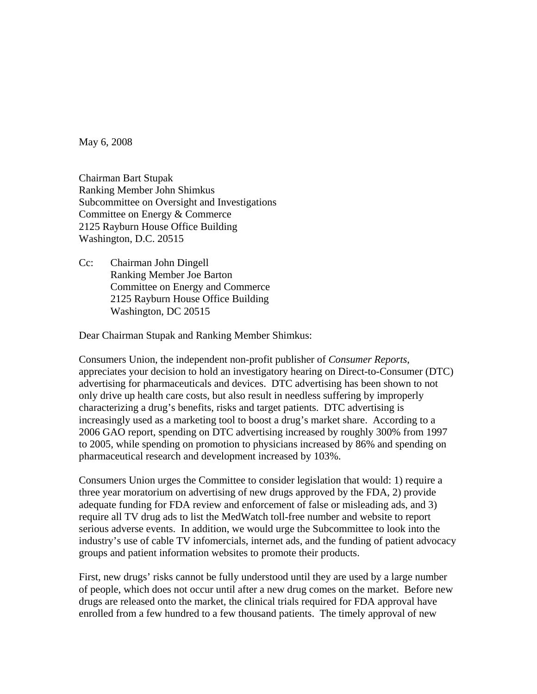May 6, 2008

Chairman Bart Stupak Ranking Member John Shimkus Subcommittee on Oversight and Investigations Committee on Energy & Commerce 2125 Rayburn House Office Building Washington, D.C. 20515

Cc: Chairman John Dingell Ranking Member Joe Barton Committee on Energy and Commerce 2125 Rayburn House Office Building Washington, DC 20515

Dear Chairman Stupak and Ranking Member Shimkus:

Consumers Union, the independent non-profit publisher of *Consumer Reports*, appreciates your decision to hold an investigatory hearing on Direct-to-Consumer (DTC) advertising for pharmaceuticals and devices. DTC advertising has been shown to not only drive up health care costs, but also result in needless suffering by improperly characterizing a drug's benefits, risks and target patients. DTC advertising is increasingly used as a marketing tool to boost a drug's market share. According to a 2006 GAO report, spending on DTC advertising increased by roughly 300% from 1997 to 2005, while spending on promotion to physicians increased by 86% and spending on pharmaceutical research and development increased by 103%.

Consumers Union urges the Committee to consider legislation that would: 1) require a three year moratorium on advertising of new drugs approved by the FDA, 2) provide adequate funding for FDA review and enforcement of false or misleading ads, and 3) require all TV drug ads to list the MedWatch toll-free number and website to report serious adverse events. In addition, we would urge the Subcommittee to look into the industry's use of cable TV infomercials, internet ads, and the funding of patient advocacy groups and patient information websites to promote their products.

First, new drugs' risks cannot be fully understood until they are used by a large number of people, which does not occur until after a new drug comes on the market. Before new drugs are released onto the market, the clinical trials required for FDA approval have enrolled from a few hundred to a few thousand patients. The timely approval of new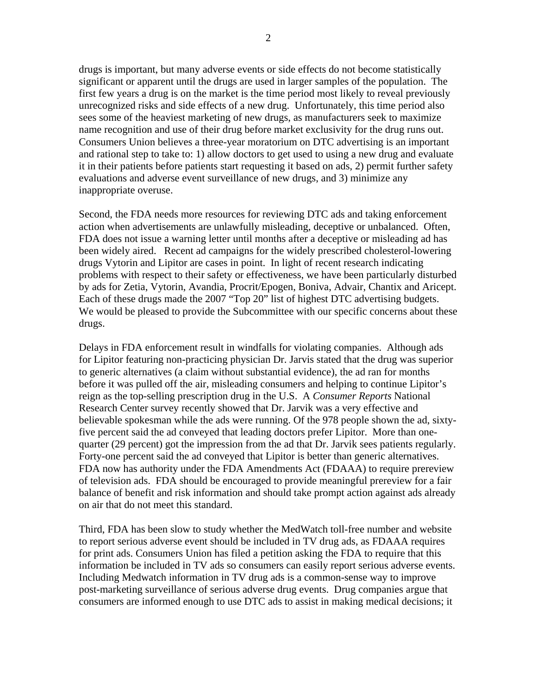drugs is important, but many adverse events or side effects do not become statistically significant or apparent until the drugs are used in larger samples of the population. The first few years a drug is on the market is the time period most likely to reveal previously unrecognized risks and side effects of a new drug. Unfortunately, this time period also sees some of the heaviest marketing of new drugs, as manufacturers seek to maximize name recognition and use of their drug before market exclusivity for the drug runs out. Consumers Union believes a three-year moratorium on DTC advertising is an important and rational step to take to: 1) allow doctors to get used to using a new drug and evaluate it in their patients before patients start requesting it based on ads, 2) permit further safety evaluations and adverse event surveillance of new drugs, and 3) minimize any inappropriate overuse.

Second, the FDA needs more resources for reviewing DTC ads and taking enforcement action when advertisements are unlawfully misleading, deceptive or unbalanced. Often, FDA does not issue a warning letter until months after a deceptive or misleading ad has been widely aired. Recent ad campaigns for the widely prescribed cholesterol-lowering drugs Vytorin and Lipitor are cases in point. In light of recent research indicating problems with respect to their safety or effectiveness, we have been particularly disturbed by ads for Zetia, Vytorin, Avandia, Procrit/Epogen, Boniva, Advair, Chantix and Aricept. Each of these drugs made the 2007 "Top 20" list of highest DTC advertising budgets. We would be pleased to provide the Subcommittee with our specific concerns about these drugs.

Delays in FDA enforcement result in windfalls for violating companies. Although ads for Lipitor featuring non-practicing physician Dr. Jarvis stated that the drug was superior to generic alternatives (a claim without substantial evidence), the ad ran for months before it was pulled off the air, misleading consumers and helping to continue Lipitor's reign as the top-selling prescription drug in the U.S. A *Consumer Reports* National Research Center survey recently showed that Dr. Jarvik was a very effective and believable spokesman while the ads were running. Of the 978 people shown the ad, sixtyfive percent said the ad conveyed that leading doctors prefer Lipitor. More than onequarter (29 percent) got the impression from the ad that Dr. Jarvik sees patients regularly. Forty-one percent said the ad conveyed that Lipitor is better than generic alternatives. FDA now has authority under the FDA Amendments Act (FDAAA) to require prereview of television ads. FDA should be encouraged to provide meaningful prereview for a fair balance of benefit and risk information and should take prompt action against ads already on air that do not meet this standard.

Third, FDA has been slow to study whether the MedWatch toll-free number and website to report serious adverse event should be included in TV drug ads, as FDAAA requires for print ads. Consumers Union has filed a petition asking the FDA to require that this information be included in TV ads so consumers can easily report serious adverse events. Including Medwatch information in TV drug ads is a common-sense way to improve post-marketing surveillance of serious adverse drug events. Drug companies argue that consumers are informed enough to use DTC ads to assist in making medical decisions; it